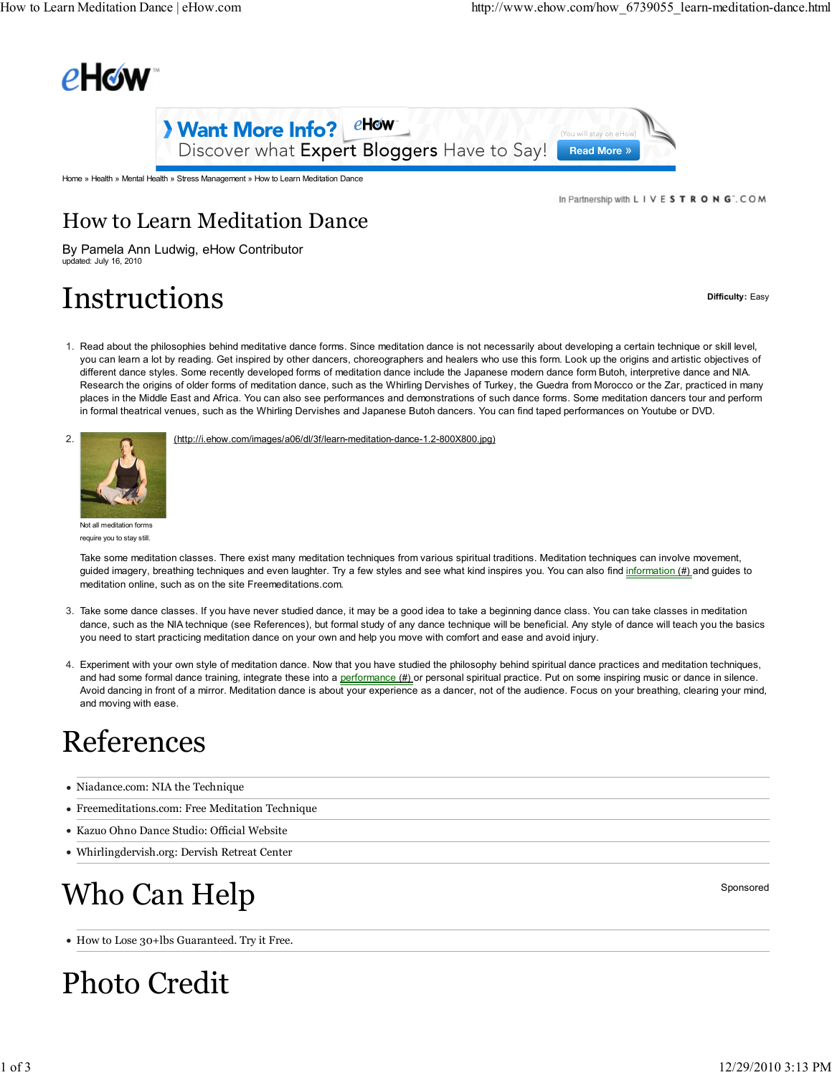



Home » Health » Mental Health » Stress Management » How to Learn Meditation Dance

In Partnership with L I V E S T R O N G". COM

#### How to Learn Meditation Dance

By Pamela Ann Ludwig, eHow Contributor updated: July 16, 2010

## Instructions and the set of the set of the set of the set of the set of the set of the set of the set of the set of the set of the set of the set of the set of the set of the set of the set of the set of the set of the set

1. Read about the philosophies behind meditative dance forms. Since meditation dance is not necessarily about developing a certain technique or skill level, you can learn a lot by reading. Get inspired by other dancers, choreographers and healers who use this form. Look up the origins and artistic objectives of different dance styles. Some recently developed forms of meditation dance include the Japanese modern dance form Butoh, interpretive dance and NIA. Research the origins of older forms of meditation dance, such as the Whirling Dervishes of Turkey, the Guedra from Morocco or the Zar, practiced in many places in the Middle East and Africa. You can also see performances and demonstrations of such dance forms. Some meditation dancers tour and perform in formal theatrical venues, such as the Whirling Dervishes and Japanese Butoh dancers. You can find taped performances on Youtube or DVD.



(http://i.ehow.com/images/a06/dl/3f/learn-meditation-dance-1.2-800X800.jpg)

Not all meditation forms require you to stay still.

Take some meditation classes. There exist many meditation techniques from various spiritual traditions. Meditation techniques can involve movement, guided imagery, breathing techniques and even laughter. Try a few styles and see what kind inspires you. You can also find information (#) and guides to meditation online, such as on the site Freemeditations.com.

- Take some dance classes. If you have never studied dance, it may be a good idea to take a beginning dance class. You can take classes in meditation 3. dance, such as the NIA technique (see References), but formal study of any dance technique will be beneficial. Any style of dance will teach you the basics you need to start practicing meditation dance on your own and help you move with comfort and ease and avoid injury.
- 4. Experiment with your own style of meditation dance. Now that you have studied the philosophy behind spiritual dance practices and meditation techniques, and had some formal dance training, integrate these into a performance (#) or personal spiritual practice. Put on some inspiring music or dance in silence. Avoid dancing in front of a mirror. Meditation dance is about your experience as a dancer, not of the audience. Focus on your breathing, clearing your mind, and moving with ease.

### References

- Niadance.com: NIA the Technique
- Freemeditations.com: Free Meditation Technique
- Kazuo Ohno Dance Studio: Official Website
- Whirlingdervish.org: Dervish Retreat Center

# $\mathbf{Who} \ \mathbf{Can} \ \mathbf{Help}$  sponsored

How to Lose 30+lbs Guaranteed. Try it Free.

# Photo Credit